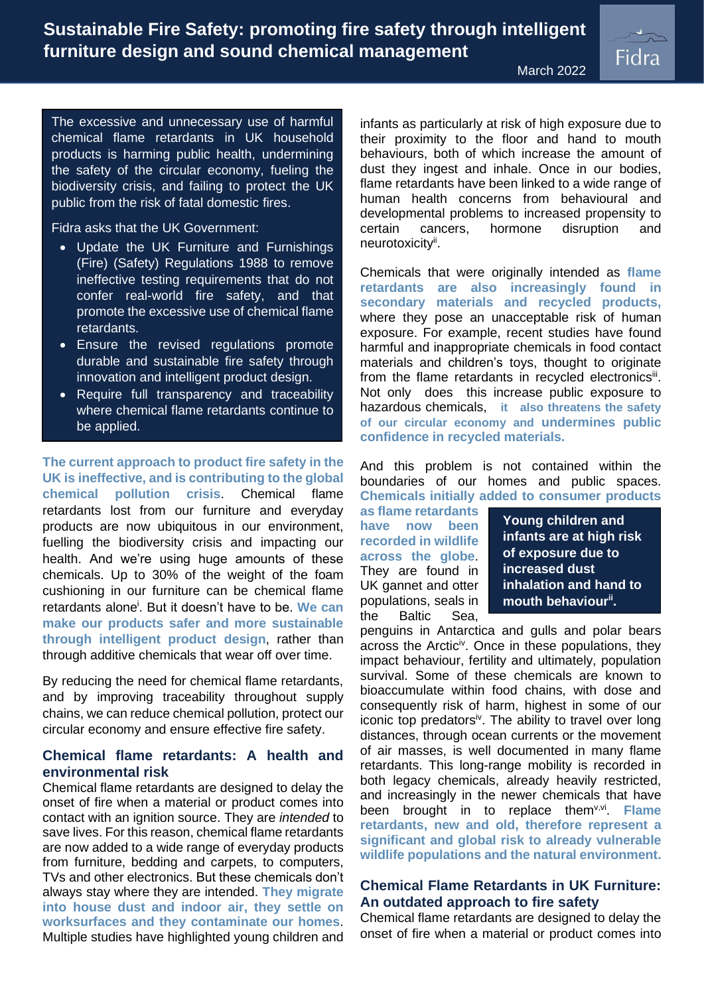**Sustainable Fire Safety: promoting fire safety through intelligent furniture design and sound chemical management**



The excessive and unnecessary use of harmful chemical flame retardants in UK household products is harming public health, undermining the safety of the circular economy, fueling the biodiversity crisis, and failing to protect the UK public from the risk of fatal domestic fires.

Fidra asks that the UK Government:

- Update the UK Furniture and Furnishings (Fire) (Safety) Regulations 1988 to remove ineffective testing requirements that do not confer real-world fire safety, and that promote the excessive use of chemical flame retardants.
- Ensure the revised regulations promote durable and sustainable fire safety through innovation and intelligent product design.
- Require full transparency and traceability where chemical flame retardants continue to be applied.

**The current approach to product fire safety in the UK is ineffective, and is contributing to the global chemical pollution crisis**. Chemical flame retardants lost from our furniture and everyday products are now ubiquitous in our environment, fuelling the biodiversity crisis and impacting our health. And we're using huge amounts of these chemicals. Up to 30% of the weight of the foam cushioning in our furniture can be chemical flame retardants alone<sup>i</sup> . But it doesn't have to be. **We can make our products safer and more sustainable through intelligent product design**, rather than through additive chemicals that wear off over time.

By reducing the need for chemical flame retardants, and by improving traceability throughout supply chains, we can reduce chemical pollution, protect our circular economy and ensure effective fire safety.

# **Chemical flame retardants: A health and environmental risk**

Chemical flame retardants are designed to delay the onset of fire when a material or product comes into contact with an ignition source. They are *intended* to save lives. For this reason, chemical flame retardants are now added to a wide range of everyday products from furniture, bedding and carpets, to computers, TVs and other electronics. But these chemicals don't always stay where they are intended. **They migrate into house dust and indoor air, they settle on worksurfaces and they contaminate our homes**. Multiple studies have highlighted young children and infants as particularly at risk of high exposure due to their proximity to the floor and hand to mouth behaviours, both of which increase the amount of dust they ingest and inhale. Once in our bodies, flame retardants have been linked to a wide range of human health concerns from behavioural and developmental problems to increased propensity to certain cancers, hormone disruption and neurotoxicityii.

March 2022

<span id="page-0-1"></span>Chemicals that were originally intended as **flame retardants are also increasingly found in secondary materials and recycled products,** where they pose an unacceptable risk of human exposure. For example, recent studies have found harmful and inappropriate chemicals in food contact materials and children's toys, thought to originate from the flame retardants in recycled electronicsiii. Not only does this increase public exposure to hazardous chemicals, **it also threatens the safety of our circular economy and undermines public confidence in recycled materials.**

And this problem is not contained within the boundaries of our homes and public spaces. **Chemicals initially added to consumer products**

**as flame retardants have now been recorded in wildlife across the globe**. They are found in UK gannet and otter populations, seals in the Baltic Sea,

**Young children and infants are at high risk of exposure due to increased dust inhalation and hand to mouth behaviou[r](#page-0-1)ii .**

<span id="page-0-0"></span>penguins in Antarctica and gulls and polar bears across the Arctic<sup>iv</sup>. Once in these populations, they impact behaviour, fertility and ultimately, population survival. Some of these chemicals are known to bioaccumulate within food chains, with dose and consequently risk of harm, highest in some of our iconic top predators<sup>[iv](#page-0-0)</sup>. The ability to travel over long distances, through ocean currents or the movement of air masses, is well documented in many flame retardants. This long-range mobility is recorded in both legacy chemicals, already heavily restricted, and increasingly in the newer chemicals that have been brought in to replace them<sup>v,vi</sup>. Flame **retardants, new and old, therefore represent a significant and global risk to already vulnerable wildlife populations and the natural environment.**

## **Chemical Flame Retardants in UK Furniture: An outdated approach to fire safety**

Chemical flame retardants are designed to delay the onset of fire when a material or product comes into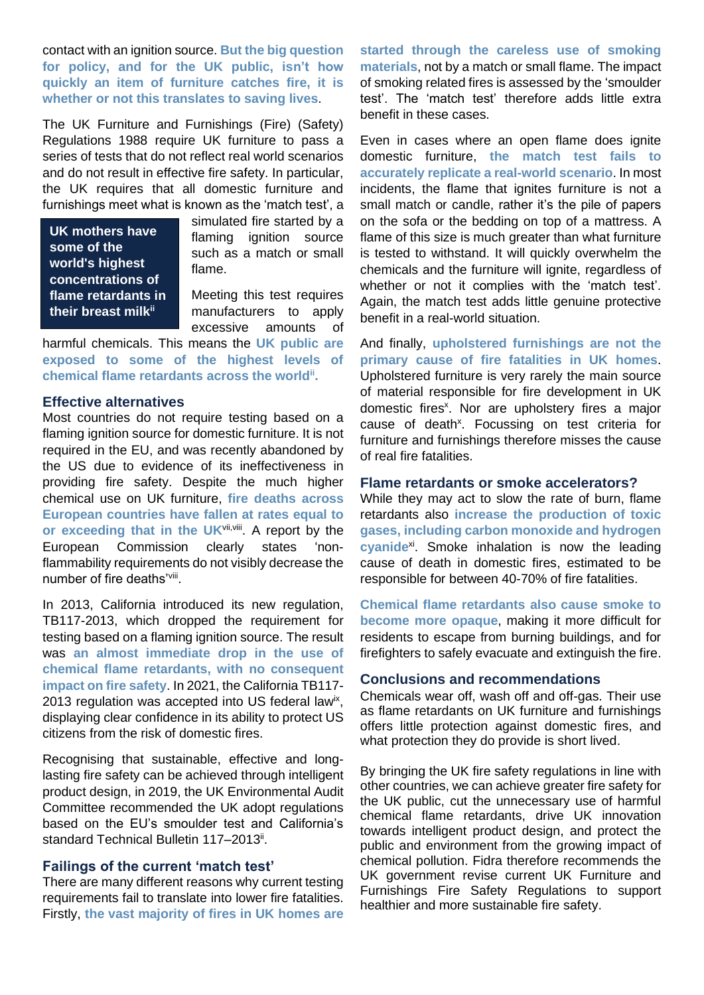contact with an ignition source. **But the big question for policy, and for the UK public, isn't how quickly an item of furniture catches fire, it is whether or not this translates to saving lives**.

The UK Furniture and Furnishings (Fire) (Safety) Regulations 1988 require UK furniture to pass a series of tests that do not reflect real world scenarios and do not result in effective fire safety. In particular, the UK requires that all domestic furniture and furnishings meet what is known as the 'match test', a

**UK mothers have some of the world's highest concentrations of flame retardants in their breast milk[ii](#page-0-1)**

simulated fire started by a flaming ignition source such as a match or small flame.

Meeting this test requires manufacturers to apply excessive amounts of

harmful chemicals. This means the **UK public are exposed to some of the highest levels of chemical flame retardants across the world[ii](#page-0-1) .**

### **Effective alternatives**

Most countries do not require testing based on a flaming ignition source for domestic furniture. It is not required in the EU, and was recently abandoned by the US due to evidence of its ineffectiveness in providing fire safety. Despite the much higher chemical use on UK furniture, **fire deaths across European countries have fallen at rates equal to**  or exceeding that in the UK<sup>vii, viii</sup>. A report by the European Commission clearly states 'nonflammability requirements do not visibly decrease the number of fire deaths'[viii](#page-1-0).

In 2013, California introduced its new regulation, TB117-2013, which dropped the requirement for testing based on a flaming ignition source. The result was **an almost immediate drop in the use of chemical flame retardants, with no consequent impact on fire safety**. In 2021, the California TB117- 2013 regulation was accepted into US federal lawix, displaying clear confidence in its ability to protect US citizens from the risk of domestic fires.

Recognising that sustainable, effective and longlasting fire safety can be achieved through intelligent product design, in 2019, the UK Environmental Audit Committee recommended the UK adopt regulations based on the EU's smoulder test and California's standard Technical Bulletin 117-201[3](#page-0-1)".

### **Failings of the current 'match test'**

There are many different reasons why current testing requirements fail to translate into lower fire fatalities. Firstly, **the vast majority of fires in UK homes are** 

**started through the careless use of smoking materials**, not by a match or small flame. The impact of smoking related fires is assessed by the 'smoulder test'. The 'match test' therefore adds little extra benefit in these cases.

Even in cases where an open flame does ignite domestic furniture, **the match test fails to accurately replicate a real-world scenario**. In most incidents, the flame that ignites furniture is not a small match or candle, rather it's the pile of papers on the sofa or the bedding on top of a mattress. A flame of this size is much greater than what furniture is tested to withstand. It will quickly overwhelm the chemicals and the furniture will ignite, regardless of whether or not it complies with the 'match test'. Again, the match test adds little genuine protective benefit in a real-world situation.

<span id="page-1-1"></span>And finally, **upholstered furnishings are not the primary cause of fire fatalities in UK homes**. Upholstered furniture is very rarely the main source of material responsible for fire development in UK domestic fires<sup>x</sup>. Nor are upholstery fires a major cause of deat[h](#page-1-1)<sup>x</sup>. Focussing on test criteria for furniture and furnishings therefore misses the cause of real fire fatalities.

#### **Flame retardants or smoke accelerators?**

<span id="page-1-0"></span>While they may act to slow the rate of burn, flame retardants also **increase the production of toxic gases, including carbon monoxide and hydrogen**  cyanide<sup>xi</sup>. Smoke inhalation is now the leading cause of death in domestic fires, estimated to be responsible for between 40-70% of fire fatalities.

**Chemical flame retardants also cause smoke to become more opaque**, making it more difficult for residents to escape from burning buildings, and for firefighters to safely evacuate and extinguish the fire.

### **Conclusions and recommendations**

Chemicals wear off, wash off and off-gas. Their use as flame retardants on UK furniture and furnishings offers little protection against domestic fires, and what protection they do provide is short lived.

By bringing the UK fire safety regulations in line with other countries, we can achieve greater fire safety for the UK public, cut the unnecessary use of harmful chemical flame retardants, drive UK innovation towards intelligent product design, and protect the public and environment from the growing impact of chemical pollution. Fidra therefore recommends the UK government revise current UK Furniture and Furnishings Fire Safety Regulations to support healthier and more sustainable fire safety.